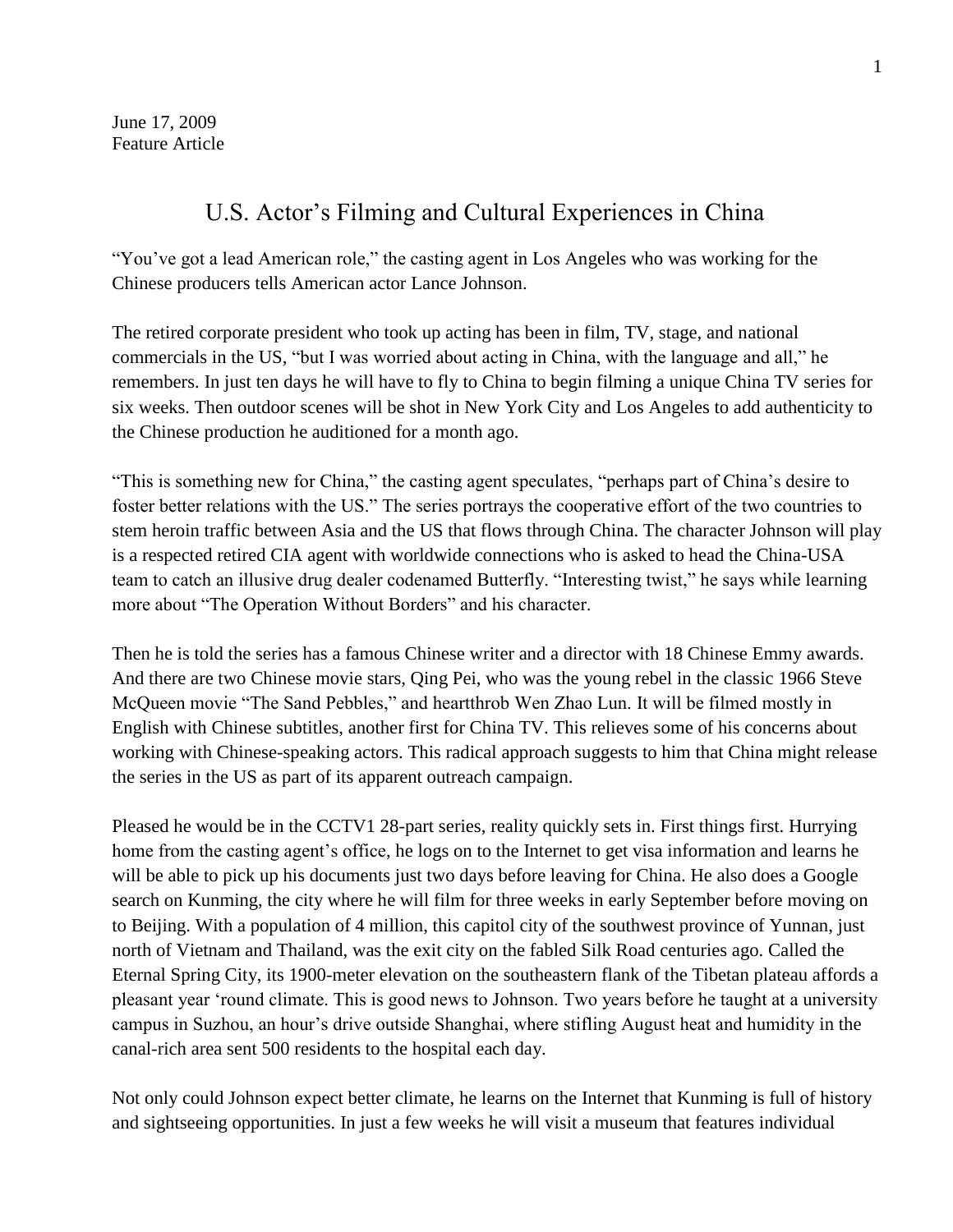June 17, 2009 Feature Article

## U.S. Actor's Filming and Cultural Experiences in China

"You've got a lead American role," the casting agent in Los Angeles who was working for the Chinese producers tells American actor Lance Johnson.

The retired corporate president who took up acting has been in film, TV, stage, and national commercials in the US, "but I was worried about acting in China, with the language and all," he remembers. In just ten days he will have to fly to China to begin filming a unique China TV series for six weeks. Then outdoor scenes will be shot in New York City and Los Angeles to add authenticity to the Chinese production he auditioned for a month ago.

"This is something new for China," the casting agent speculates, "perhaps part of China's desire to foster better relations with the US." The series portrays the cooperative effort of the two countries to stem heroin traffic between Asia and the US that flows through China. The character Johnson will play is a respected retired CIA agent with worldwide connections who is asked to head the China-USA team to catch an illusive drug dealer codenamed Butterfly. "Interesting twist," he says while learning more about "The Operation Without Borders" and his character.

Then he is told the series has a famous Chinese writer and a director with 18 Chinese Emmy awards. And there are two Chinese movie stars, Qing Pei, who was the young rebel in the classic 1966 Steve McQueen movie "The Sand Pebbles," and heartthrob Wen Zhao Lun. It will be filmed mostly in English with Chinese subtitles, another first for China TV. This relieves some of his concerns about working with Chinese-speaking actors. This radical approach suggests to him that China might release the series in the US as part of its apparent outreach campaign.

Pleased he would be in the CCTV1 28-part series, reality quickly sets in. First things first. Hurrying home from the casting agent's office, he logs on to the Internet to get visa information and learns he will be able to pick up his documents just two days before leaving for China. He also does a Google search on Kunming, the city where he will film for three weeks in early September before moving on to Beijing. With a population of 4 million, this capitol city of the southwest province of Yunnan, just north of Vietnam and Thailand, was the exit city on the fabled Silk Road centuries ago. Called the Eternal Spring City, its 1900-meter elevation on the southeastern flank of the Tibetan plateau affords a pleasant year 'round climate. This is good news to Johnson. Two years before he taught at a university campus in Suzhou, an hour's drive outside Shanghai, where stifling August heat and humidity in the canal-rich area sent 500 residents to the hospital each day.

Not only could Johnson expect better climate, he learns on the Internet that Kunming is full of history and sightseeing opportunities. In just a few weeks he will visit a museum that features individual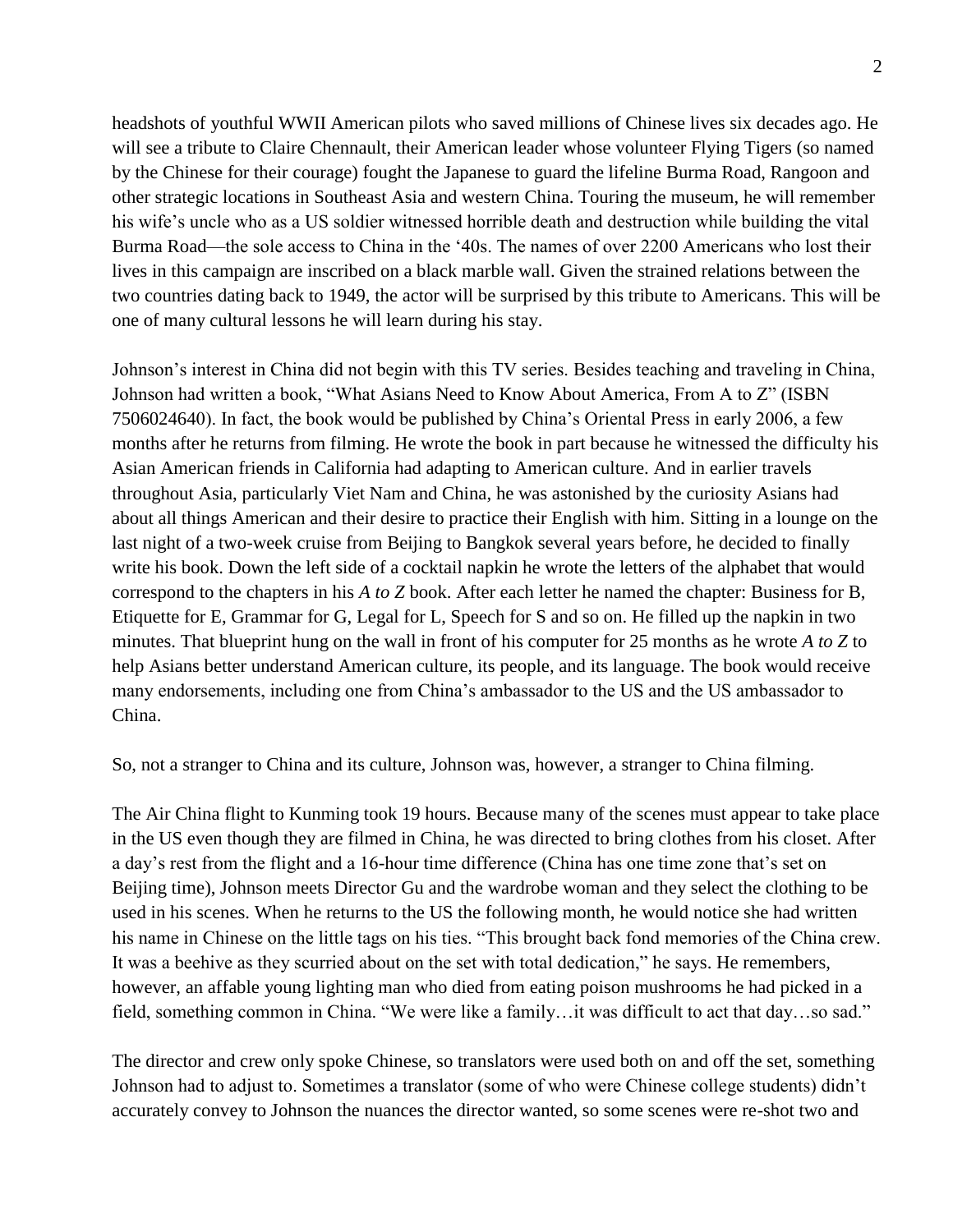headshots of youthful WWII American pilots who saved millions of Chinese lives six decades ago. He will see a tribute to Claire Chennault, their American leader whose volunteer Flying Tigers (so named by the Chinese for their courage) fought the Japanese to guard the lifeline Burma Road, Rangoon and other strategic locations in Southeast Asia and western China. Touring the museum, he will remember his wife's uncle who as a US soldier witnessed horrible death and destruction while building the vital Burma Road—the sole access to China in the '40s. The names of over 2200 Americans who lost their lives in this campaign are inscribed on a black marble wall. Given the strained relations between the two countries dating back to 1949, the actor will be surprised by this tribute to Americans. This will be one of many cultural lessons he will learn during his stay.

Johnson's interest in China did not begin with this TV series. Besides teaching and traveling in China, Johnson had written a book, "What Asians Need to Know About America, From A to Z" (ISBN 7506024640). In fact, the book would be published by China's Oriental Press in early 2006, a few months after he returns from filming. He wrote the book in part because he witnessed the difficulty his Asian American friends in California had adapting to American culture. And in earlier travels throughout Asia, particularly Viet Nam and China, he was astonished by the curiosity Asians had about all things American and their desire to practice their English with him. Sitting in a lounge on the last night of a two-week cruise from Beijing to Bangkok several years before, he decided to finally write his book. Down the left side of a cocktail napkin he wrote the letters of the alphabet that would correspond to the chapters in his *A to Z* book. After each letter he named the chapter: Business for B, Etiquette for E, Grammar for G, Legal for L, Speech for S and so on. He filled up the napkin in two minutes. That blueprint hung on the wall in front of his computer for 25 months as he wrote *A to Z* to help Asians better understand American culture, its people, and its language. The book would receive many endorsements, including one from China's ambassador to the US and the US ambassador to China.

So, not a stranger to China and its culture, Johnson was, however, a stranger to China filming.

The Air China flight to Kunming took 19 hours. Because many of the scenes must appear to take place in the US even though they are filmed in China, he was directed to bring clothes from his closet. After a day's rest from the flight and a 16-hour time difference (China has one time zone that's set on Beijing time), Johnson meets Director Gu and the wardrobe woman and they select the clothing to be used in his scenes. When he returns to the US the following month, he would notice she had written his name in Chinese on the little tags on his ties. "This brought back fond memories of the China crew. It was a beehive as they scurried about on the set with total dedication," he says. He remembers, however, an affable young lighting man who died from eating poison mushrooms he had picked in a field, something common in China. "We were like a family…it was difficult to act that day…so sad."

The director and crew only spoke Chinese, so translators were used both on and off the set, something Johnson had to adjust to. Sometimes a translator (some of who were Chinese college students) didn't accurately convey to Johnson the nuances the director wanted, so some scenes were re-shot two and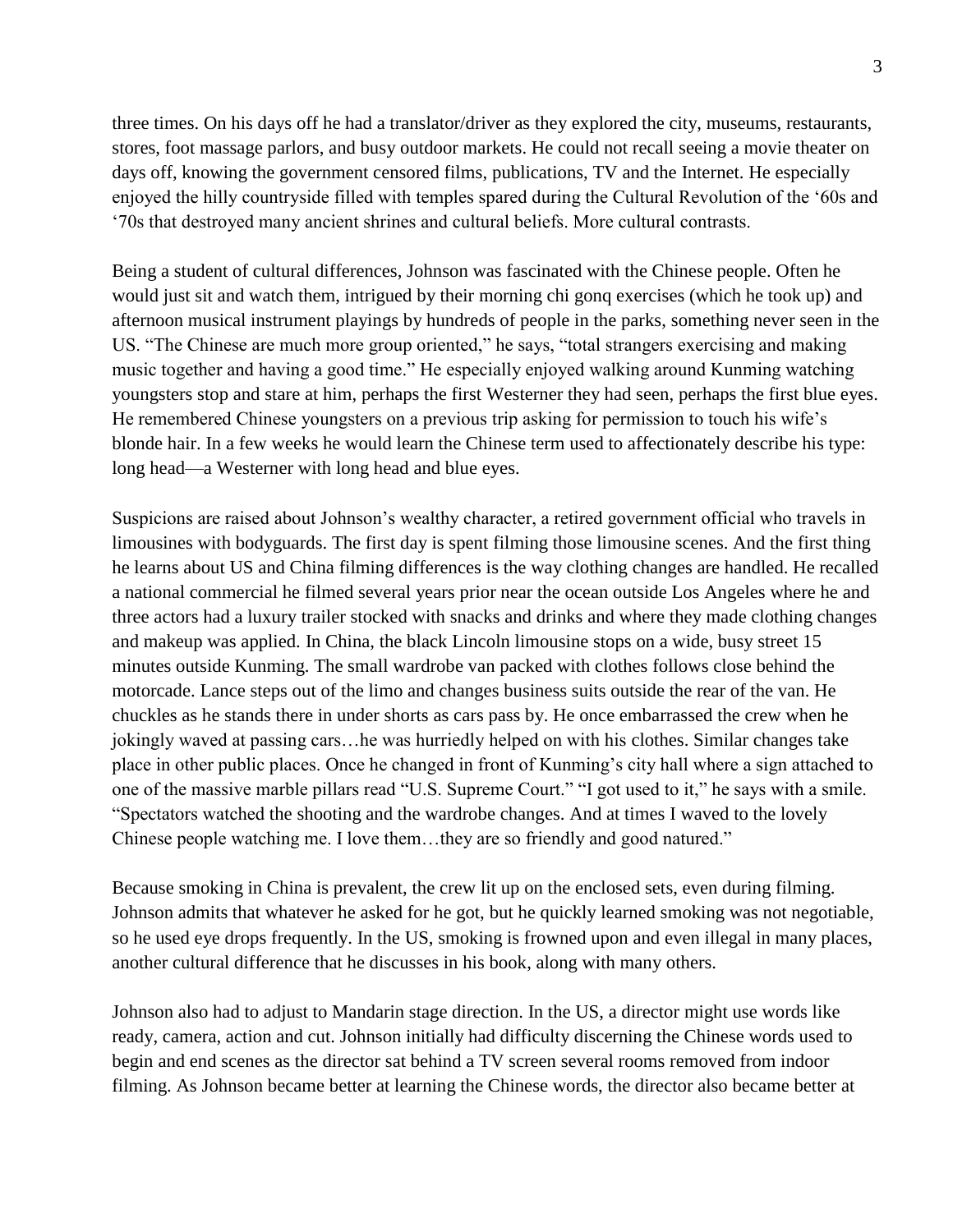three times. On his days off he had a translator/driver as they explored the city, museums, restaurants, stores, foot massage parlors, and busy outdoor markets. He could not recall seeing a movie theater on days off, knowing the government censored films, publications, TV and the Internet. He especially enjoyed the hilly countryside filled with temples spared during the Cultural Revolution of the '60s and '70s that destroyed many ancient shrines and cultural beliefs. More cultural contrasts.

Being a student of cultural differences, Johnson was fascinated with the Chinese people. Often he would just sit and watch them, intrigued by their morning chi gonq exercises (which he took up) and afternoon musical instrument playings by hundreds of people in the parks, something never seen in the US. "The Chinese are much more group oriented," he says, "total strangers exercising and making music together and having a good time." He especially enjoyed walking around Kunming watching youngsters stop and stare at him, perhaps the first Westerner they had seen, perhaps the first blue eyes. He remembered Chinese youngsters on a previous trip asking for permission to touch his wife's blonde hair. In a few weeks he would learn the Chinese term used to affectionately describe his type: long head—a Westerner with long head and blue eyes.

Suspicions are raised about Johnson's wealthy character, a retired government official who travels in limousines with bodyguards. The first day is spent filming those limousine scenes. And the first thing he learns about US and China filming differences is the way clothing changes are handled. He recalled a national commercial he filmed several years prior near the ocean outside Los Angeles where he and three actors had a luxury trailer stocked with snacks and drinks and where they made clothing changes and makeup was applied. In China, the black Lincoln limousine stops on a wide, busy street 15 minutes outside Kunming. The small wardrobe van packed with clothes follows close behind the motorcade. Lance steps out of the limo and changes business suits outside the rear of the van. He chuckles as he stands there in under shorts as cars pass by. He once embarrassed the crew when he jokingly waved at passing cars…he was hurriedly helped on with his clothes. Similar changes take place in other public places. Once he changed in front of Kunming's city hall where a sign attached to one of the massive marble pillars read "U.S. Supreme Court." "I got used to it," he says with a smile. "Spectators watched the shooting and the wardrobe changes. And at times I waved to the lovely Chinese people watching me. I love them…they are so friendly and good natured."

Because smoking in China is prevalent, the crew lit up on the enclosed sets, even during filming. Johnson admits that whatever he asked for he got, but he quickly learned smoking was not negotiable, so he used eye drops frequently. In the US, smoking is frowned upon and even illegal in many places, another cultural difference that he discusses in his book, along with many others.

Johnson also had to adjust to Mandarin stage direction. In the US, a director might use words like ready, camera, action and cut. Johnson initially had difficulty discerning the Chinese words used to begin and end scenes as the director sat behind a TV screen several rooms removed from indoor filming. As Johnson became better at learning the Chinese words, the director also became better at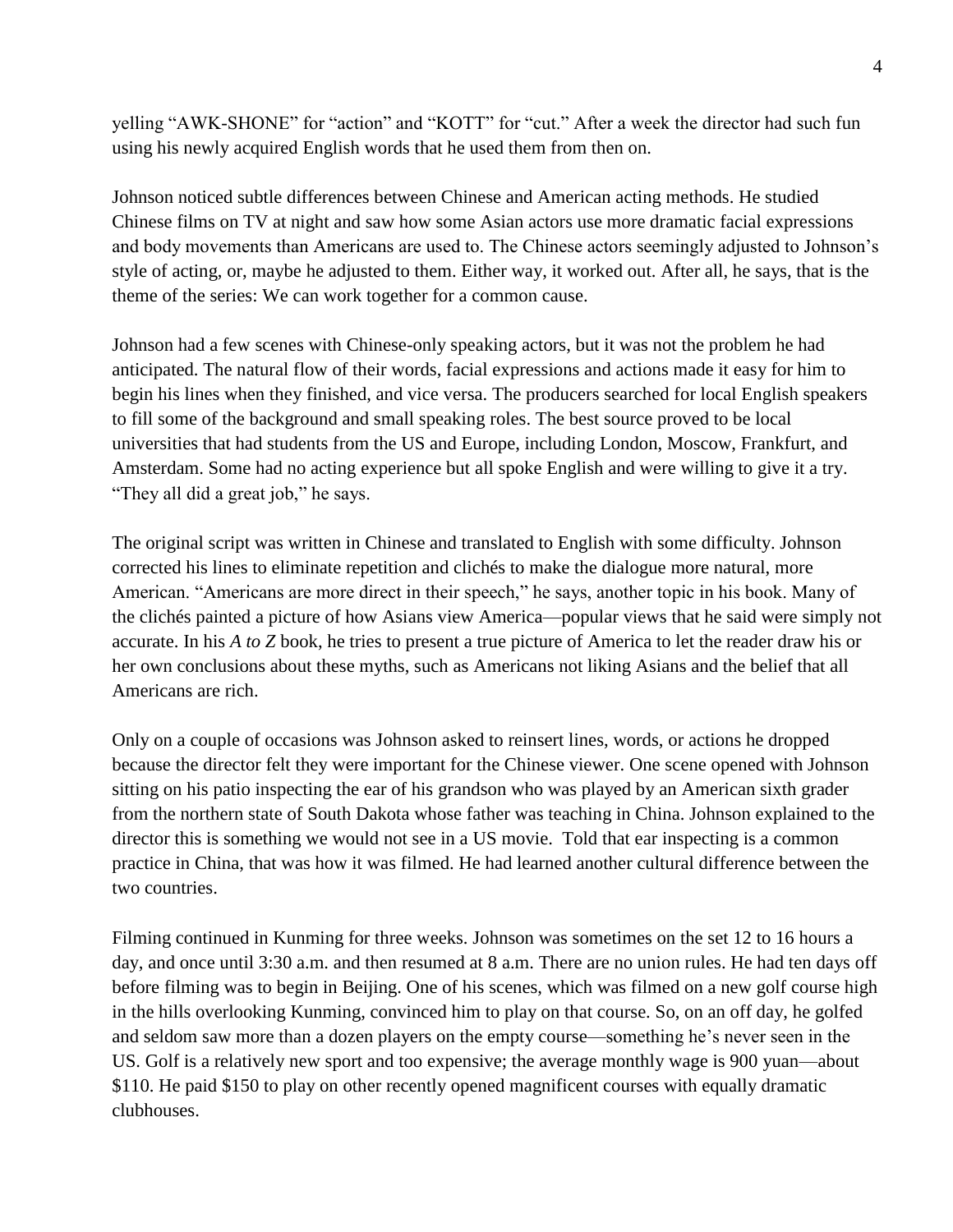yelling "AWK-SHONE" for "action" and "KOTT" for "cut." After a week the director had such fun using his newly acquired English words that he used them from then on.

Johnson noticed subtle differences between Chinese and American acting methods. He studied Chinese films on TV at night and saw how some Asian actors use more dramatic facial expressions and body movements than Americans are used to. The Chinese actors seemingly adjusted to Johnson's style of acting, or, maybe he adjusted to them. Either way, it worked out. After all, he says, that is the theme of the series: We can work together for a common cause.

Johnson had a few scenes with Chinese-only speaking actors, but it was not the problem he had anticipated. The natural flow of their words, facial expressions and actions made it easy for him to begin his lines when they finished, and vice versa. The producers searched for local English speakers to fill some of the background and small speaking roles. The best source proved to be local universities that had students from the US and Europe, including London, Moscow, Frankfurt, and Amsterdam. Some had no acting experience but all spoke English and were willing to give it a try. "They all did a great job," he says.

The original script was written in Chinese and translated to English with some difficulty. Johnson corrected his lines to eliminate repetition and clichés to make the dialogue more natural, more American. "Americans are more direct in their speech," he says, another topic in his book. Many of the clichés painted a picture of how Asians view America—popular views that he said were simply not accurate. In his *A to Z* book, he tries to present a true picture of America to let the reader draw his or her own conclusions about these myths, such as Americans not liking Asians and the belief that all Americans are rich.

Only on a couple of occasions was Johnson asked to reinsert lines, words, or actions he dropped because the director felt they were important for the Chinese viewer. One scene opened with Johnson sitting on his patio inspecting the ear of his grandson who was played by an American sixth grader from the northern state of South Dakota whose father was teaching in China. Johnson explained to the director this is something we would not see in a US movie. Told that ear inspecting is a common practice in China, that was how it was filmed. He had learned another cultural difference between the two countries.

Filming continued in Kunming for three weeks. Johnson was sometimes on the set 12 to 16 hours a day, and once until 3:30 a.m. and then resumed at 8 a.m. There are no union rules. He had ten days off before filming was to begin in Beijing. One of his scenes, which was filmed on a new golf course high in the hills overlooking Kunming, convinced him to play on that course. So, on an off day, he golfed and seldom saw more than a dozen players on the empty course—something he's never seen in the US. Golf is a relatively new sport and too expensive; the average monthly wage is 900 yuan—about \$110. He paid \$150 to play on other recently opened magnificent courses with equally dramatic clubhouses.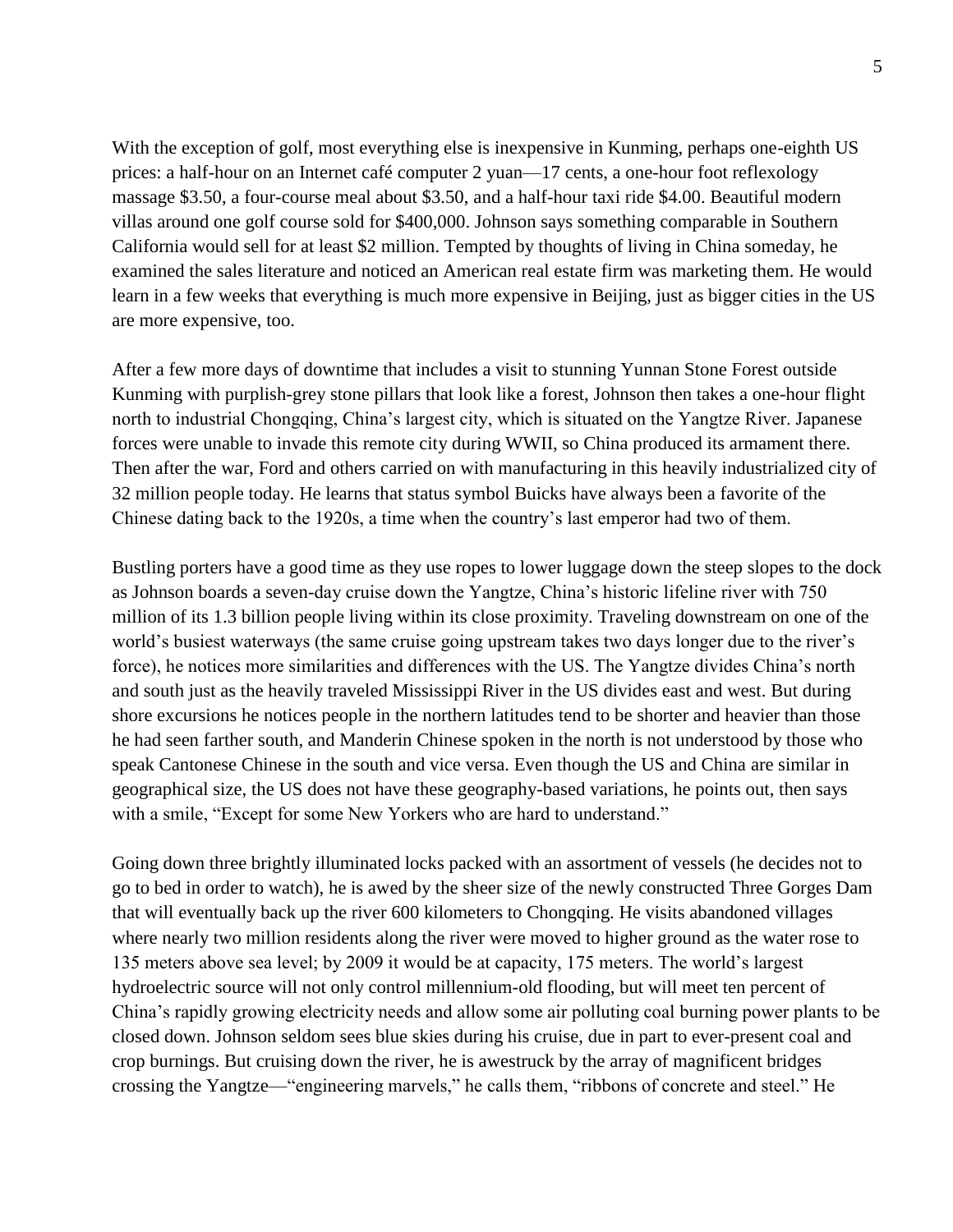With the exception of golf, most everything else is inexpensive in Kunming, perhaps one-eighth US prices: a half-hour on an Internet café computer 2 yuan—17 cents, a one-hour foot reflexology massage \$3.50, a four-course meal about \$3.50, and a half-hour taxi ride \$4.00. Beautiful modern villas around one golf course sold for \$400,000. Johnson says something comparable in Southern California would sell for at least \$2 million. Tempted by thoughts of living in China someday, he examined the sales literature and noticed an American real estate firm was marketing them. He would learn in a few weeks that everything is much more expensive in Beijing, just as bigger cities in the US are more expensive, too.

After a few more days of downtime that includes a visit to stunning Yunnan Stone Forest outside Kunming with purplish-grey stone pillars that look like a forest, Johnson then takes a one-hour flight north to industrial Chongqing, China's largest city, which is situated on the Yangtze River. Japanese forces were unable to invade this remote city during WWII, so China produced its armament there. Then after the war, Ford and others carried on with manufacturing in this heavily industrialized city of 32 million people today. He learns that status symbol Buicks have always been a favorite of the Chinese dating back to the 1920s, a time when the country's last emperor had two of them.

Bustling porters have a good time as they use ropes to lower luggage down the steep slopes to the dock as Johnson boards a seven-day cruise down the Yangtze, China's historic lifeline river with 750 million of its 1.3 billion people living within its close proximity. Traveling downstream on one of the world's busiest waterways (the same cruise going upstream takes two days longer due to the river's force), he notices more similarities and differences with the US. The Yangtze divides China's north and south just as the heavily traveled Mississippi River in the US divides east and west. But during shore excursions he notices people in the northern latitudes tend to be shorter and heavier than those he had seen farther south, and Manderin Chinese spoken in the north is not understood by those who speak Cantonese Chinese in the south and vice versa. Even though the US and China are similar in geographical size, the US does not have these geography-based variations, he points out, then says with a smile, "Except for some New Yorkers who are hard to understand."

Going down three brightly illuminated locks packed with an assortment of vessels (he decides not to go to bed in order to watch), he is awed by the sheer size of the newly constructed Three Gorges Dam that will eventually back up the river 600 kilometers to Chongqing. He visits abandoned villages where nearly two million residents along the river were moved to higher ground as the water rose to 135 meters above sea level; by 2009 it would be at capacity, 175 meters. The world's largest hydroelectric source will not only control millennium-old flooding, but will meet ten percent of China's rapidly growing electricity needs and allow some air polluting coal burning power plants to be closed down. Johnson seldom sees blue skies during his cruise, due in part to ever-present coal and crop burnings. But cruising down the river, he is awestruck by the array of magnificent bridges crossing the Yangtze—"engineering marvels," he calls them, "ribbons of concrete and steel." He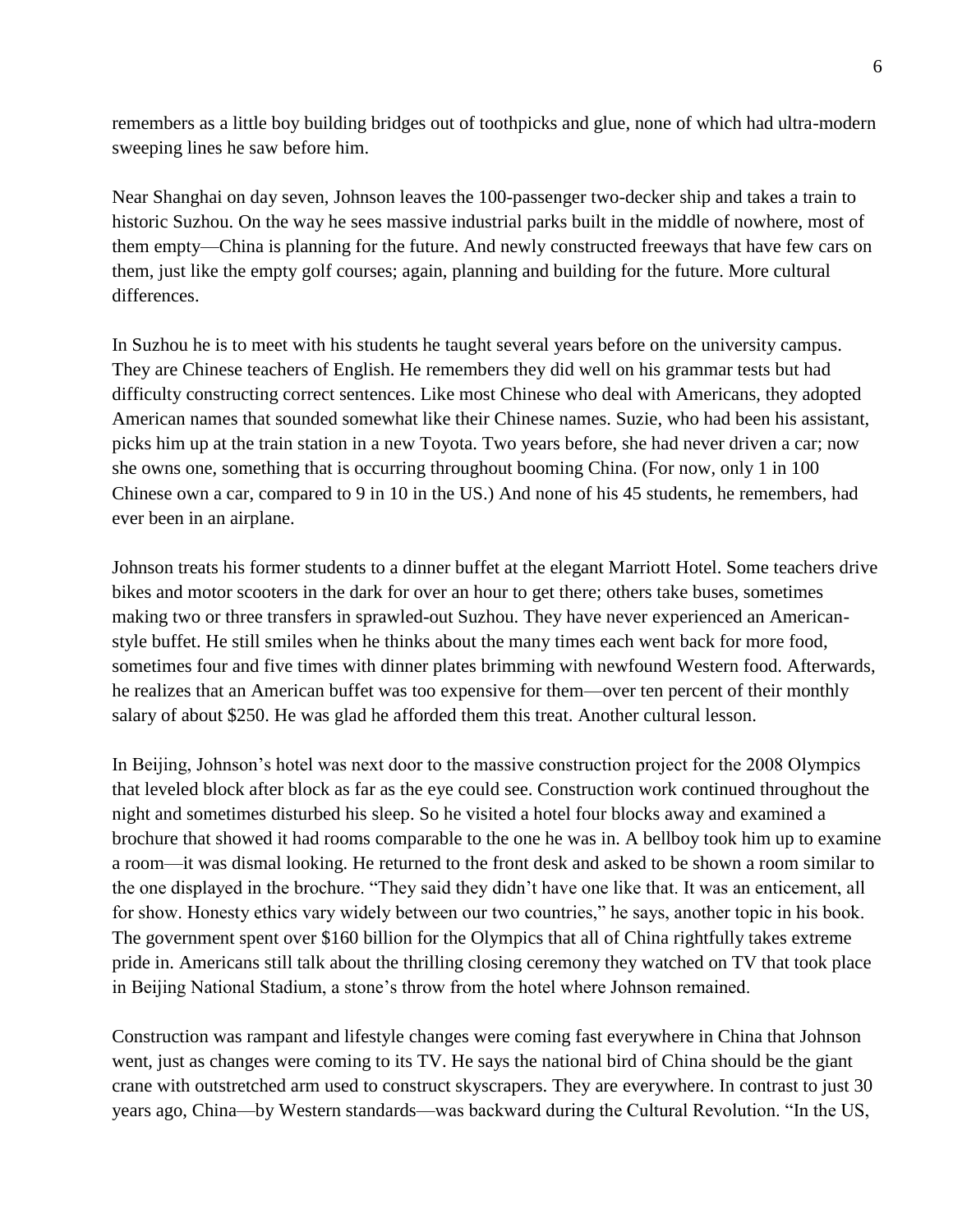remembers as a little boy building bridges out of toothpicks and glue, none of which had ultra-modern sweeping lines he saw before him.

Near Shanghai on day seven, Johnson leaves the 100-passenger two-decker ship and takes a train to historic Suzhou. On the way he sees massive industrial parks built in the middle of nowhere, most of them empty—China is planning for the future. And newly constructed freeways that have few cars on them, just like the empty golf courses; again, planning and building for the future. More cultural differences.

In Suzhou he is to meet with his students he taught several years before on the university campus. They are Chinese teachers of English. He remembers they did well on his grammar tests but had difficulty constructing correct sentences. Like most Chinese who deal with Americans, they adopted American names that sounded somewhat like their Chinese names. Suzie, who had been his assistant, picks him up at the train station in a new Toyota. Two years before, she had never driven a car; now she owns one, something that is occurring throughout booming China. (For now, only 1 in 100 Chinese own a car, compared to 9 in 10 in the US.) And none of his 45 students, he remembers, had ever been in an airplane.

Johnson treats his former students to a dinner buffet at the elegant Marriott Hotel. Some teachers drive bikes and motor scooters in the dark for over an hour to get there; others take buses, sometimes making two or three transfers in sprawled-out Suzhou. They have never experienced an Americanstyle buffet. He still smiles when he thinks about the many times each went back for more food, sometimes four and five times with dinner plates brimming with newfound Western food. Afterwards, he realizes that an American buffet was too expensive for them—over ten percent of their monthly salary of about \$250. He was glad he afforded them this treat. Another cultural lesson.

In Beijing, Johnson's hotel was next door to the massive construction project for the 2008 Olympics that leveled block after block as far as the eye could see. Construction work continued throughout the night and sometimes disturbed his sleep. So he visited a hotel four blocks away and examined a brochure that showed it had rooms comparable to the one he was in. A bellboy took him up to examine a room—it was dismal looking. He returned to the front desk and asked to be shown a room similar to the one displayed in the brochure. "They said they didn't have one like that. It was an enticement, all for show. Honesty ethics vary widely between our two countries," he says, another topic in his book. The government spent over \$160 billion for the Olympics that all of China rightfully takes extreme pride in. Americans still talk about the thrilling closing ceremony they watched on TV that took place in Beijing National Stadium, a stone's throw from the hotel where Johnson remained.

Construction was rampant and lifestyle changes were coming fast everywhere in China that Johnson went, just as changes were coming to its TV. He says the national bird of China should be the giant crane with outstretched arm used to construct skyscrapers. They are everywhere. In contrast to just 30 years ago, China—by Western standards—was backward during the Cultural Revolution. "In the US,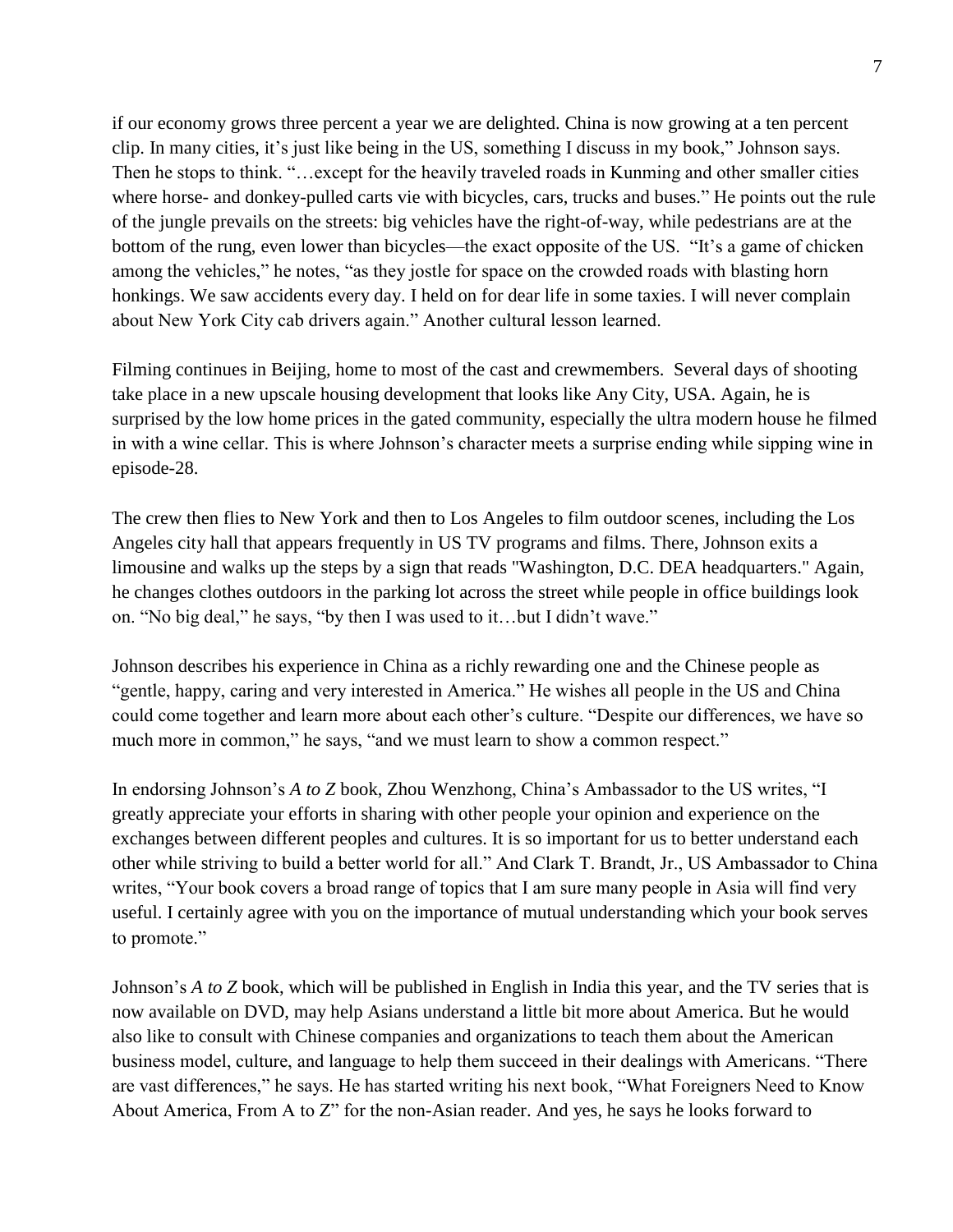if our economy grows three percent a year we are delighted. China is now growing at a ten percent clip. In many cities, it's just like being in the US, something I discuss in my book," Johnson says. Then he stops to think. "…except for the heavily traveled roads in Kunming and other smaller cities where horse- and donkey-pulled carts vie with bicycles, cars, trucks and buses." He points out the rule of the jungle prevails on the streets: big vehicles have the right-of-way, while pedestrians are at the bottom of the rung, even lower than bicycles—the exact opposite of the US. "It's a game of chicken among the vehicles," he notes, "as they jostle for space on the crowded roads with blasting horn honkings. We saw accidents every day. I held on for dear life in some taxies. I will never complain about New York City cab drivers again." Another cultural lesson learned.

Filming continues in Beijing, home to most of the cast and crewmembers. Several days of shooting take place in a new upscale housing development that looks like Any City, USA. Again, he is surprised by the low home prices in the gated community, especially the ultra modern house he filmed in with a wine cellar. This is where Johnson's character meets a surprise ending while sipping wine in episode-28.

The crew then flies to New York and then to Los Angeles to film outdoor scenes, including the Los Angeles city hall that appears frequently in US TV programs and films. There, Johnson exits a limousine and walks up the steps by a sign that reads "Washington, D.C. DEA headquarters." Again, he changes clothes outdoors in the parking lot across the street while people in office buildings look on. "No big deal," he says, "by then I was used to it…but I didn't wave."

Johnson describes his experience in China as a richly rewarding one and the Chinese people as "gentle, happy, caring and very interested in America." He wishes all people in the US and China could come together and learn more about each other's culture. "Despite our differences, we have so much more in common," he says, "and we must learn to show a common respect."

In endorsing Johnson's *A to Z* book, Zhou Wenzhong, China's Ambassador to the US writes, "I greatly appreciate your efforts in sharing with other people your opinion and experience on the exchanges between different peoples and cultures. It is so important for us to better understand each other while striving to build a better world for all." And Clark T. Brandt, Jr., US Ambassador to China writes, "Your book covers a broad range of topics that I am sure many people in Asia will find very useful. I certainly agree with you on the importance of mutual understanding which your book serves to promote."

Johnson's *A to Z* book, which will be published in English in India this year, and the TV series that is now available on DVD, may help Asians understand a little bit more about America. But he would also like to consult with Chinese companies and organizations to teach them about the American business model, culture, and language to help them succeed in their dealings with Americans. "There are vast differences," he says. He has started writing his next book, "What Foreigners Need to Know About America, From A to Z" for the non-Asian reader. And yes, he says he looks forward to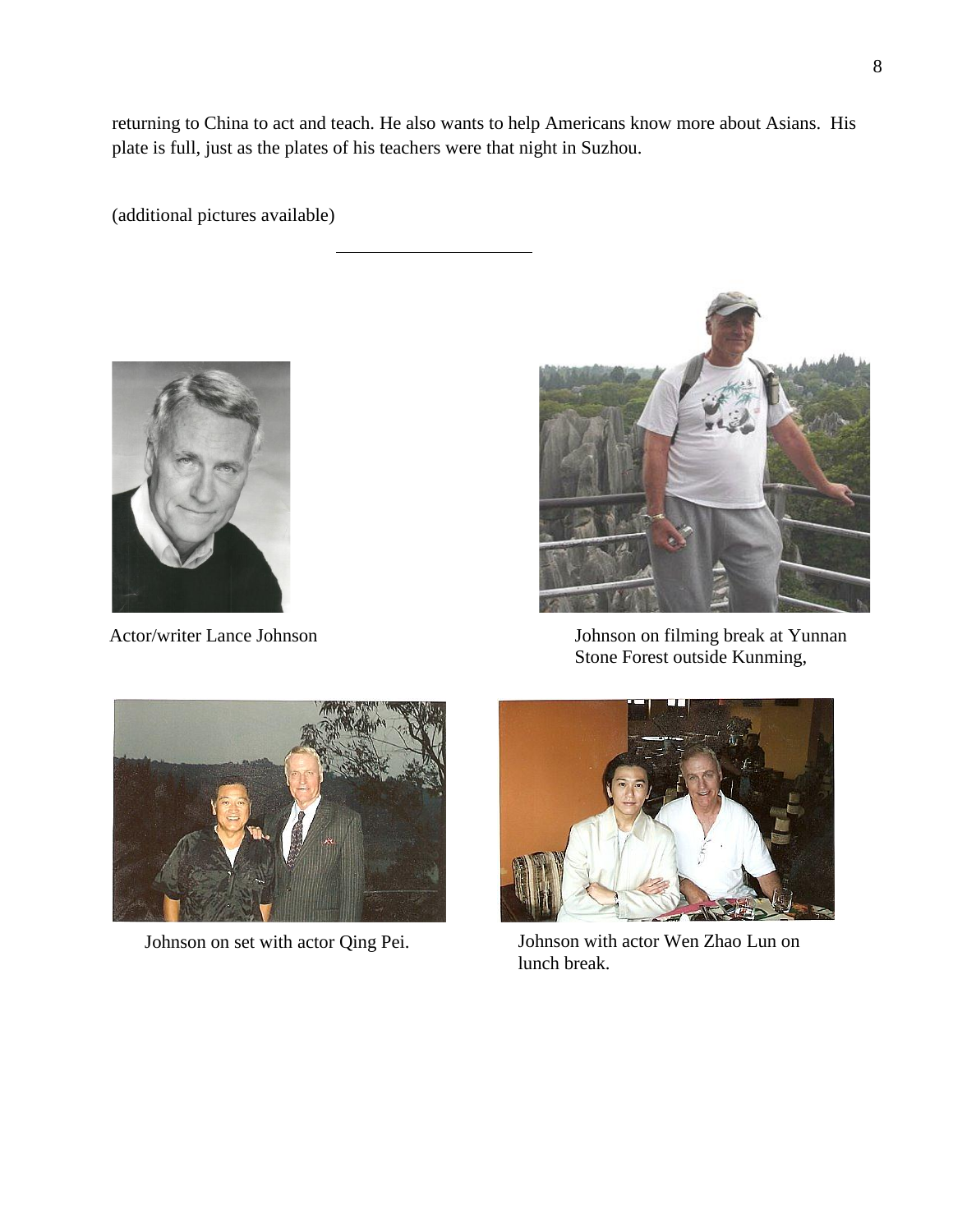returning to China to act and teach. He also wants to help Americans know more about Asians. His plate is full, just as the plates of his teachers were that night in Suzhou.

(additional pictures available)





Actor/writer Lance Johnson **International Studiers** Johnson on filming break at Yunnan Stone Forest outside Kunming,





Johnson on set with actor Qing Pei. Johnson with actor Wen Zhao Lun on lunch break.